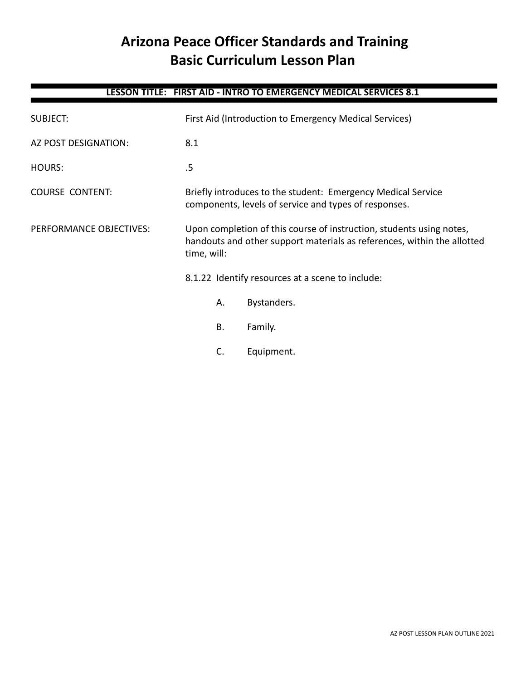# **Arizona Peace Officer Standards and Training Basic Curriculum Lesson Plan**

# **LESSON TITLE: FIRST AID - INTRO TO EMERGENCY MEDICAL SERVICES 8.1**

| <b>SUBJECT:</b>         | First Aid (Introduction to Emergency Medical Services)                                                                                                         |             |  |
|-------------------------|----------------------------------------------------------------------------------------------------------------------------------------------------------------|-------------|--|
| AZ POST DESIGNATION:    | 8.1                                                                                                                                                            |             |  |
| <b>HOURS:</b>           | .5                                                                                                                                                             |             |  |
| <b>COURSE CONTENT:</b>  | Briefly introduces to the student: Emergency Medical Service<br>components, levels of service and types of responses.                                          |             |  |
| PERFORMANCE OBJECTIVES: | Upon completion of this course of instruction, students using notes,<br>handouts and other support materials as references, within the allotted<br>time, will: |             |  |
|                         | 8.1.22 Identify resources at a scene to include:                                                                                                               |             |  |
|                         | А.                                                                                                                                                             | Bystanders. |  |
|                         | Β.                                                                                                                                                             | Family.     |  |
|                         | C.                                                                                                                                                             | Equipment.  |  |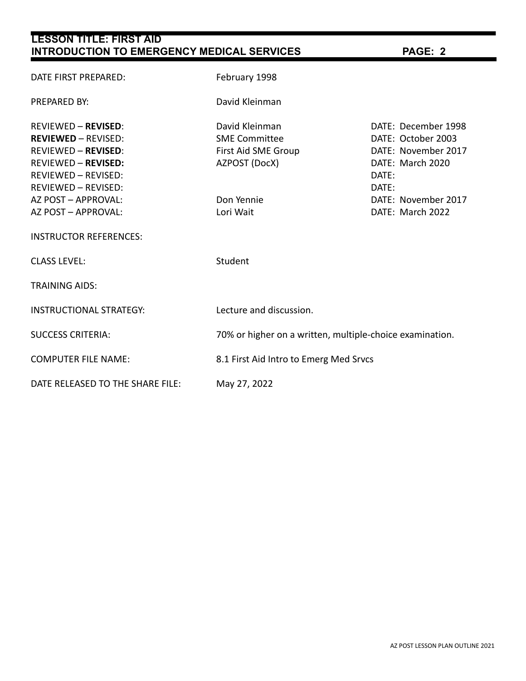| <b>LESSON TITLE: FIRST AID</b><br><b>INTRODUCTION TO EMERGENCY MEDICAL SERVICES</b>                                                                                                                                                                             | PAGE: 2                                                                                                   |                                                                                                                                                   |  |
|-----------------------------------------------------------------------------------------------------------------------------------------------------------------------------------------------------------------------------------------------------------------|-----------------------------------------------------------------------------------------------------------|---------------------------------------------------------------------------------------------------------------------------------------------------|--|
| DATE FIRST PREPARED:                                                                                                                                                                                                                                            | February 1998                                                                                             |                                                                                                                                                   |  |
| <b>PREPARED BY:</b>                                                                                                                                                                                                                                             | David Kleinman                                                                                            |                                                                                                                                                   |  |
| <b>REVIEWED - REVISED:</b><br><b>REVIEWED - REVISED:</b><br><b>REVIEWED - REVISED:</b><br><b>REVIEWED - REVISED:</b><br><b>REVIEWED - REVISED:</b><br><b>REVIEWED - REVISED:</b><br>AZ POST - APPROVAL:<br>AZ POST - APPROVAL:<br><b>INSTRUCTOR REFERENCES:</b> | David Kleinman<br><b>SME Committee</b><br>First Aid SME Group<br>AZPOST (DocX)<br>Don Yennie<br>Lori Wait | DATE: December 1998<br>DATE: October 2003<br>DATE: November 2017<br>DATE: March 2020<br>DATE:<br>DATE:<br>DATE: November 2017<br>DATE: March 2022 |  |
| <b>CLASS LEVEL:</b>                                                                                                                                                                                                                                             | Student                                                                                                   |                                                                                                                                                   |  |
| <b>TRAINING AIDS:</b>                                                                                                                                                                                                                                           |                                                                                                           |                                                                                                                                                   |  |
| <b>INSTRUCTIONAL STRATEGY:</b>                                                                                                                                                                                                                                  | Lecture and discussion.                                                                                   |                                                                                                                                                   |  |
| <b>SUCCESS CRITERIA:</b>                                                                                                                                                                                                                                        | 70% or higher on a written, multiple-choice examination.                                                  |                                                                                                                                                   |  |
| <b>COMPUTER FILE NAME:</b>                                                                                                                                                                                                                                      | 8.1 First Aid Intro to Emerg Med Srvcs                                                                    |                                                                                                                                                   |  |
| DATE RELEASED TO THE SHARE FILE:                                                                                                                                                                                                                                | May 27, 2022                                                                                              |                                                                                                                                                   |  |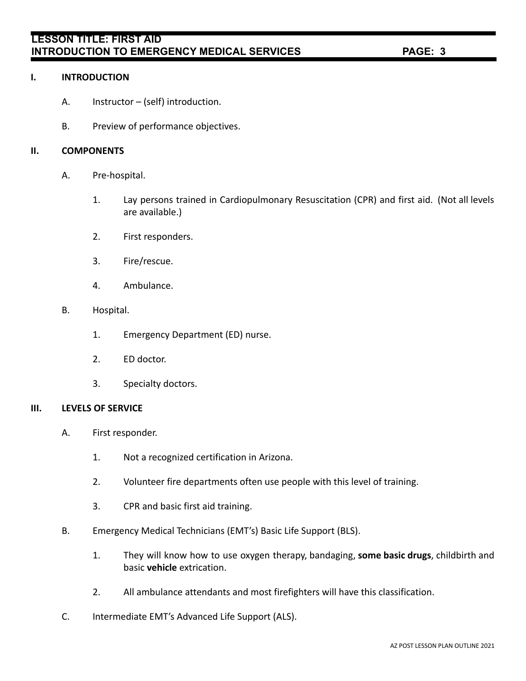# **LESSON TITLE: FIRST AID INTRODUCTION TO EMERGENCY MEDICAL SERVICES PAGE: 3**

### **I. INTRODUCTION**

- A. Instructor (self) introduction.
- B. Preview of performance objectives.

### **II. COMPONENTS**

- A. Pre-hospital.
	- 1. Lay persons trained in Cardiopulmonary Resuscitation (CPR) and first aid. (Not all levels are available.)
	- 2. First responders.
	- 3. Fire/rescue.
	- 4. Ambulance.
- B. Hospital.
	- 1. Emergency Department (ED) nurse.
	- 2. ED doctor.
	- 3. Specialty doctors.

#### **III. LEVELS OF SERVICE**

- A. First responder.
	- 1. Not a recognized certification in Arizona.
	- 2. Volunteer fire departments often use people with this level of training.
	- 3. CPR and basic first aid training.
- B. Emergency Medical Technicians (EMT's) Basic Life Support (BLS).
	- 1. They will know how to use oxygen therapy, bandaging, **some basic drugs**, childbirth and basic **vehicle** extrication.
	- 2. All ambulance attendants and most firefighters will have this classification.
- C. Intermediate EMT's Advanced Life Support (ALS).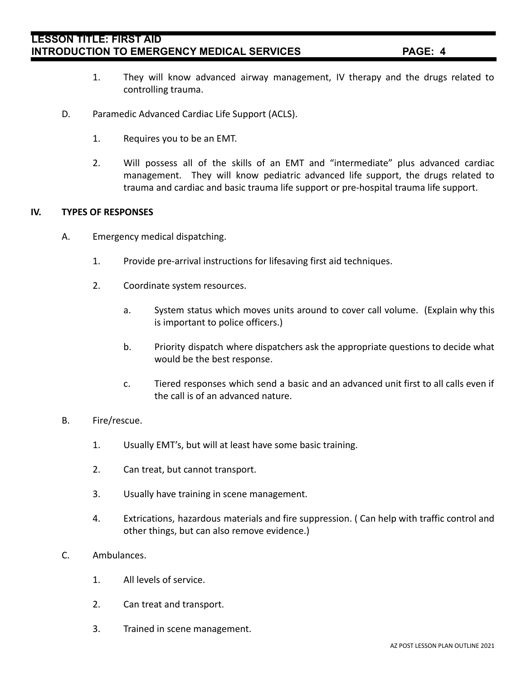# **LESSON TITLE: FIRST AID INTRODUCTION TO EMERGENCY MEDICAL SERVICES PAGE: 4**

- 1. They will know advanced airway management, IV therapy and the drugs related to controlling trauma.
- D. Paramedic Advanced Cardiac Life Support (ACLS).
	- 1. Requires you to be an EMT.
	- 2. Will possess all of the skills of an EMT and "intermediate" plus advanced cardiac management. They will know pediatric advanced life support, the drugs related to trauma and cardiac and basic trauma life support or pre-hospital trauma life support.

#### **IV. TYPES OF RESPONSES**

- A. Emergency medical dispatching.
	- 1. Provide pre-arrival instructions for lifesaving first aid techniques.
	- 2. Coordinate system resources.
		- a. System status which moves units around to cover call volume. (Explain why this is important to police officers.)
		- b. Priority dispatch where dispatchers ask the appropriate questions to decide what would be the best response.
		- c. Tiered responses which send a basic and an advanced unit first to all calls even if the call is of an advanced nature.
- B. Fire/rescue.
	- 1. Usually EMT's, but will at least have some basic training.
	- 2. Can treat, but cannot transport.
	- 3. Usually have training in scene management.
	- 4. Extrications, hazardous materials and fire suppression. ( Can help with traffic control and other things, but can also remove evidence.)
- C. Ambulances.
	- 1. All levels of service.
	- 2. Can treat and transport.
	- 3. Trained in scene management.